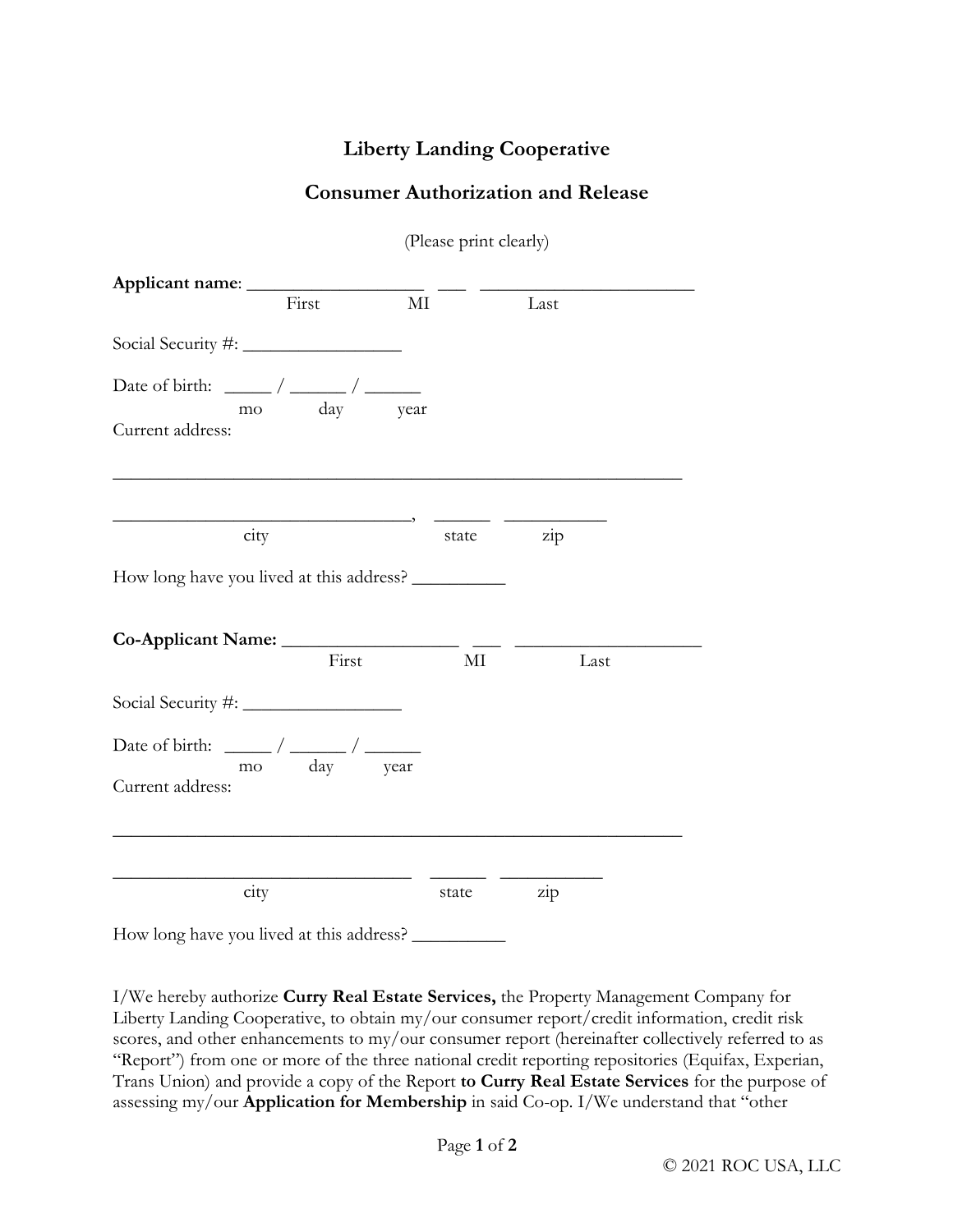## **Liberty Landing Cooperative**

## **Consumer Authorization and Release**

(Please print clearly)

| First                                                                           | $\rm MI$ | Last      |
|---------------------------------------------------------------------------------|----------|-----------|
|                                                                                 |          |           |
| mo day year<br>Current address:                                                 |          |           |
| city                                                                            |          | state zip |
| How long have you lived at this address? _____________                          |          |           |
| First                                                                           | $\rm MI$ | Last      |
|                                                                                 |          |           |
| Date of birth: $\frac{1}{\text{mo}} / \frac{1}{\text{day}}$<br>Current address: |          |           |
|                                                                                 |          |           |
| city                                                                            | state    | zip       |
| How long have you lived at this address?                                        |          |           |

I/We hereby authorize **Curry Real Estate Services,** the Property Management Company for Liberty Landing Cooperative, to obtain my/our consumer report/credit information, credit risk scores, and other enhancements to my/our consumer report (hereinafter collectively referred to as "Report") from one or more of the three national credit reporting repositories (Equifax, Experian, Trans Union) and provide a copy of the Report **to Curry Real Estate Services** for the purpose of assessing my/our **Application for Membership** in said Co-op. I/We understand that "other